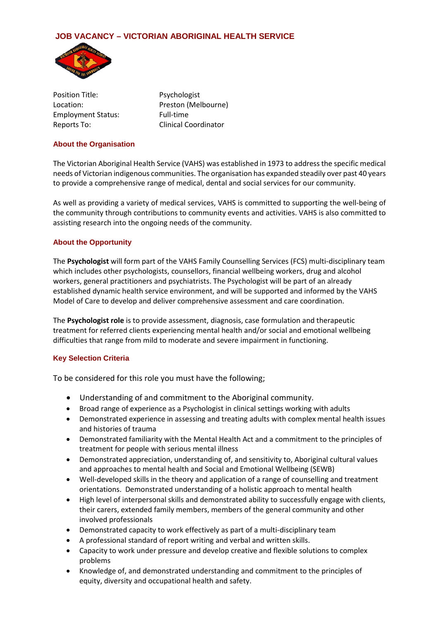# **JOB VACANCY – VICTORIAN ABORIGINAL HEALTH SERVICE**



Position Title: Psychologist Location: Preston (Melbourne) Employment Status: Full-time Reports To: Clinical Coordinator

#### **About the Organisation**

The Victorian Aboriginal Health Service (VAHS) was established in 1973 to address the specific medical needs of Victorian indigenous communities. The organisation has expanded steadily over past 40 years to provide a comprehensive range of medical, dental and social services for our community.

As well as providing a variety of medical services, VAHS is committed to supporting the well-being of the community through contributions to community events and activities. VAHS is also committed to assisting research into the ongoing needs of the community.

### **About the Opportunity**

The **Psychologist** will form part of the VAHS Family Counselling Services (FCS) multi-disciplinary team which includes other psychologists, counsellors, financial wellbeing workers, drug and alcohol workers, general practitioners and psychiatrists. The Psychologist will be part of an already established dynamic health service environment, and will be supported and informed by the VAHS Model of Care to develop and deliver comprehensive assessment and care coordination.

The **Psychologist role** is to provide assessment, diagnosis, case formulation and therapeutic treatment for referred clients experiencing mental health and/or social and emotional wellbeing difficulties that range from mild to moderate and severe impairment in functioning.

# **Key Selection Criteria**

To be considered for this role you must have the following;

- Understanding of and commitment to the Aboriginal community.
- Broad range of experience as a Psychologist in clinical settings working with adults
- Demonstrated experience in assessing and treating adults with complex mental health issues and histories of trauma
- Demonstrated familiarity with the Mental Health Act and a commitment to the principles of treatment for people with serious mental illness
- Demonstrated appreciation, understanding of, and sensitivity to, Aboriginal cultural values and approaches to mental health and Social and Emotional Wellbeing (SEWB)
- Well-developed skills in the theory and application of a range of counselling and treatment orientations. Demonstrated understanding of a holistic approach to mental health
- High level of interpersonal skills and demonstrated ability to successfully engage with clients, their carers, extended family members, members of the general community and other involved professionals
- Demonstrated capacity to work effectively as part of a multi-disciplinary team
- A professional standard of report writing and verbal and written skills.
- Capacity to work under pressure and develop creative and flexible solutions to complex problems
- Knowledge of, and demonstrated understanding and commitment to the principles of equity, diversity and occupational health and safety.